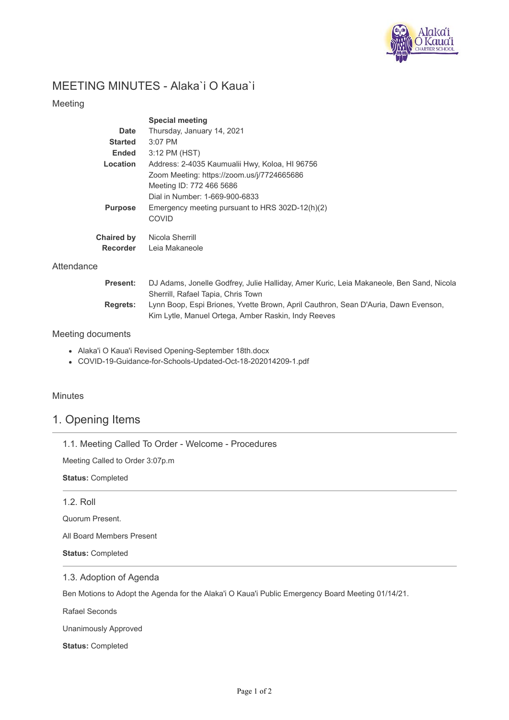

# MEETING MINUTES - Alaka`i O Kaua`i

### Meeting

|                   | <b>Special meeting</b>                          |  |  |  |  |  |
|-------------------|-------------------------------------------------|--|--|--|--|--|
| Date              | Thursday, January 14, 2021                      |  |  |  |  |  |
| <b>Started</b>    | $3:07$ PM                                       |  |  |  |  |  |
| <b>Ended</b>      | 3:12 PM (HST)                                   |  |  |  |  |  |
| Location          | Address: 2-4035 Kaumualii Hwy, Koloa, HI 96756  |  |  |  |  |  |
|                   | Zoom Meeting: https://zoom.us/j/7724665686      |  |  |  |  |  |
|                   | Meeting ID: 772 466 5686                        |  |  |  |  |  |
|                   | Dial in Number: 1-669-900-6833                  |  |  |  |  |  |
| <b>Purpose</b>    | Emergency meeting pursuant to HRS 302D-12(h)(2) |  |  |  |  |  |
|                   | <b>COVID</b>                                    |  |  |  |  |  |
| <b>Chaired by</b> | Nicola Sherrill                                 |  |  |  |  |  |
| <b>Recorder</b>   | Leia Makaneole                                  |  |  |  |  |  |

### **Attendance**

| <b>Present:</b> | DJ Adams, Jonelle Godfrey, Julie Halliday, Amer Kuric, Leia Makaneole, Ben Sand, Nicola |  |  |  |  |  |
|-----------------|-----------------------------------------------------------------------------------------|--|--|--|--|--|
|                 | Sherrill, Rafael Tapia, Chris Town                                                      |  |  |  |  |  |
| <b>Rearets:</b> | Lynn Boop, Espi Briones, Yvette Brown, April Cauthron, Sean D'Auria, Dawn Evenson,      |  |  |  |  |  |
|                 | Kim Lytle, Manuel Ortega, Amber Raskin, Indy Reeves                                     |  |  |  |  |  |

### Meeting documents

- Alaka'i O Kaua'i Revised Opening-September 18th.docx
- COVID-19-Guidance-for-Schools-Updated-Oct-18-202014209-1.pdf

### **Minutes**

# 1. Opening Items

|  |  |  |  |  |  |  | 1.1. Meeting Called To Order - Welcome - Procedures |
|--|--|--|--|--|--|--|-----------------------------------------------------|
|--|--|--|--|--|--|--|-----------------------------------------------------|

Meeting Called to Order 3:07p.m

**Status:** Completed

### 1.2. Roll

Quorum Present.

All Board Members Present

**Status:** Completed

### 1.3. Adoption of Agenda

Ben Motions to Adopt the Agenda for the Alaka'i O Kaua'i Public Emergency Board Meeting 01/14/21.

Rafael Seconds

Unanimously Approved

**Status:** Completed